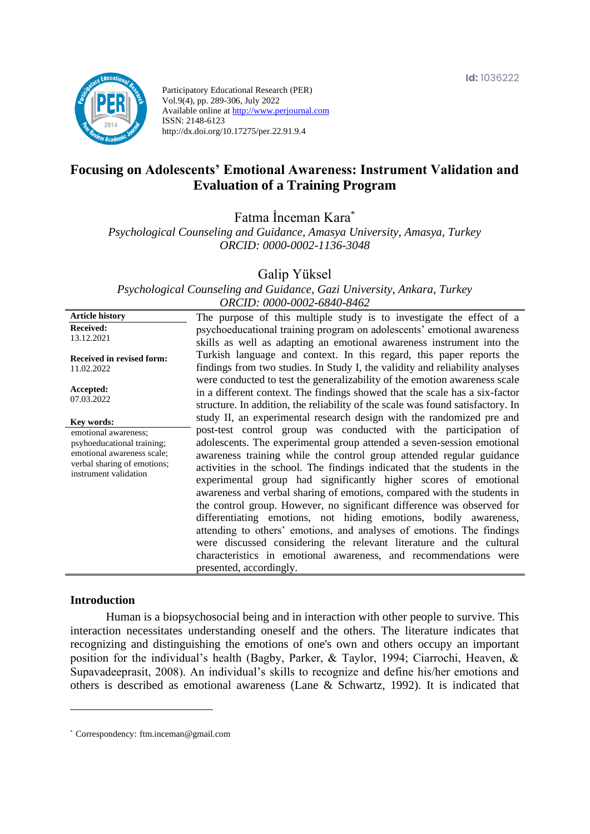

Participatory Educational Research (PER) Vol.9(4), pp. 289-306, July 2022 Available online at http://www.perjournal.com ISSN: 2148-6123 http://dx.doi.org/10.17275/per.22.91.9.4

# **Focusing on Adolescents' Emotional Awareness: Instrument Validation and Evaluation of a Training Program**

Fatma İnceman Kara\*

*Psychological Counseling and Guidance, Amasya University, Amasya, Turkey ORCID: 0000-0002-1136-3048*

Galip Yüksel

*Psychological Counseling and Guidance, Gazi University, Ankara, Turkey ORCID: 0000-0002-6840-8462*

**Article history Received:**  13.12.2021 **Received in revised form:**  11.02.2022 **Accepted:** 07.03.2022 The purpose of this multiple study is to investigate the effect of a psychoeducational training program on adolescents' emotional awareness skills as well as adapting an emotional awareness instrument into the Turkish language and context. In this regard, this paper reports the findings from two studies. In Study I, the validity and reliability analyses were conducted to test the generalizability of the emotion awareness scale in a different context. The findings showed that the scale has a six-factor structure. In addition, the reliability of the scale was found satisfactory. In study II, an experimental research design with the randomized pre and post-test control group was conducted with the participation of adolescents. The experimental group attended a seven-session emotional awareness training while the control group attended regular guidance activities in the school. The findings indicated that the students in the experimental group had significantly higher scores of emotional awareness and verbal sharing of emotions, compared with the students in the control group. However, no significant difference was observed for differentiating emotions, not hiding emotions, bodily awareness, attending to others' emotions, and analyses of emotions. The findings were discussed considering the relevant literature and the cultural characteristics in emotional awareness, and recommendations were presented, accordingly. **Key words:** emotional awareness; psyhoeducational training; emotional awareness scale; verbal sharing of emotions; instrument validation

#### **Introduction**

Human is a biopsychosocial being and in interaction with other people to survive. This interaction necessitates understanding oneself and the others. The literature indicates that recognizing and distinguishing the emotions of one's own and others occupy an important position for the individual's health (Bagby, Parker, & Taylor, 1994; Ciarrochi, Heaven, & Supavadeeprasit, 2008). An individual's skills to recognize and define his/her emotions and others is described as emotional awareness (Lane & Schwartz, 1992). It is indicated that

<sup>\*</sup> [Correspondency:](mailto:Correspondency:) ftm.inceman@gmail.com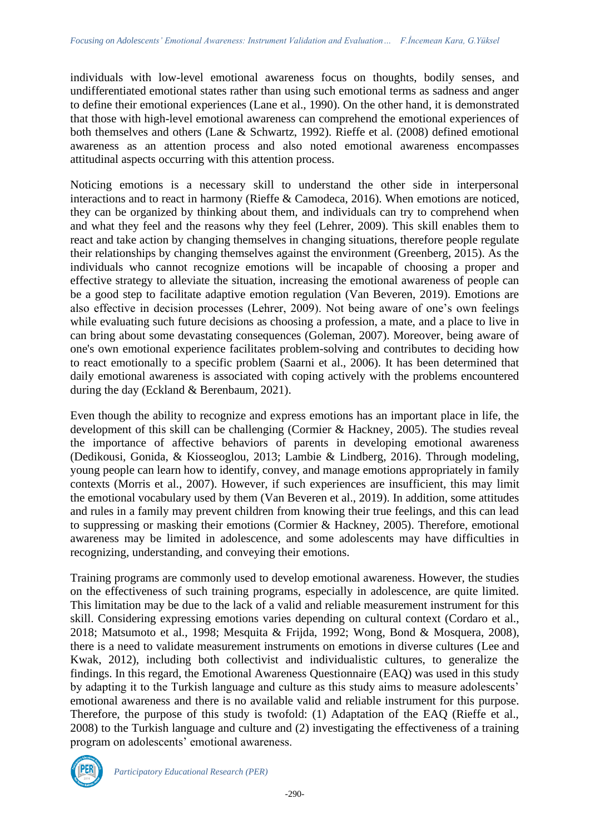individuals with low-level emotional awareness focus on thoughts, bodily senses, and undifferentiated emotional states rather than using such emotional terms as sadness and anger to define their emotional experiences (Lane et al., 1990). On the other hand, it is demonstrated that those with high-level emotional awareness can comprehend the emotional experiences of both themselves and others (Lane & Schwartz, 1992). Rieffe et al. (2008) defined emotional awareness as an attention process and also noted emotional awareness encompasses attitudinal aspects occurring with this attention process.

Noticing emotions is a necessary skill to understand the other side in interpersonal interactions and to react in harmony (Rieffe & Camodeca, 2016). When emotions are noticed, they can be organized by thinking about them, and individuals can try to comprehend when and what they feel and the reasons why they feel (Lehrer, 2009). This skill enables them to react and take action by changing themselves in changing situations, therefore people regulate their relationships by changing themselves against the environment (Greenberg, 2015). As the individuals who cannot recognize emotions will be incapable of choosing a proper and effective strategy to alleviate the situation, increasing the emotional awareness of people can be a good step to facilitate adaptive emotion regulation (Van Beveren, 2019). Emotions are also effective in decision processes (Lehrer, 2009). Not being aware of one's own feelings while evaluating such future decisions as choosing a profession, a mate, and a place to live in can bring about some devastating consequences (Goleman, 2007). Moreover, being aware of one's own emotional experience facilitates problem-solving and contributes to deciding how to react emotionally to a specific problem (Saarni et al., 2006). It has been determined that daily emotional awareness is associated with coping actively with the problems encountered during the day (Eckland & Berenbaum, 2021).

Even though the ability to recognize and express emotions has an important place in life, the development of this skill can be challenging (Cormier & Hackney, 2005). The studies reveal the importance of affective behaviors of parents in developing emotional awareness (Dedikousi, Gonida, & Kiosseoglou, 2013; Lambie & Lindberg, 2016). Through modeling, young people can learn how to identify, convey, and manage emotions appropriately in family contexts (Morris et al., 2007). However, if such experiences are insufficient, this may limit the emotional vocabulary used by them (Van Beveren et al., 2019). In addition, some attitudes and rules in a family may prevent children from knowing their true feelings, and this can lead to suppressing or masking their emotions (Cormier & Hackney, 2005). Therefore, emotional awareness may be limited in adolescence, and some adolescents may have difficulties in recognizing, understanding, and conveying their emotions.

Training programs are commonly used to develop emotional awareness. However, the studies on the effectiveness of such training programs, especially in adolescence, are quite limited. This limitation may be due to the lack of a valid and reliable measurement instrument for this skill. Considering expressing emotions varies depending on cultural context (Cordaro et al., 2018; Matsumoto et al., 1998; Mesquita & Frijda, 1992; Wong, Bond & Mosquera, 2008), there is a need to validate measurement instruments on emotions in diverse cultures [\(Lee](https://link.springer.com/article/10.1007/s12564-011-9175-8#auth-Hyuneung-Lee) and [Kwak,](https://link.springer.com/article/10.1007/s12564-011-9175-8#auth-Yunjung-Kwak) 2012), including both collectivist and individualistic cultures, to generalize the findings. In this regard, the Emotional Awareness Questionnaire (EAQ) was used in this study by adapting it to the Turkish language and culture as this study aims to measure adolescents' emotional awareness and there is no available valid and reliable instrument for this purpose. Therefore, the purpose of this study is twofold: (1) Adaptation of the EAQ (Rieffe et al., 2008) to the Turkish language and culture and (2) investigating the effectiveness of a training program on adolescents' emotional awareness.

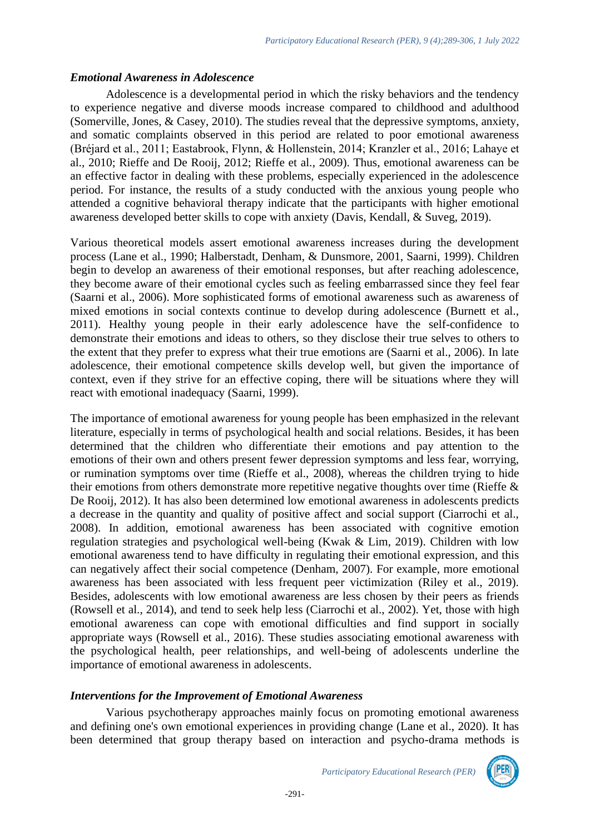### *Emotional Awareness in Adolescence*

Adolescence is a developmental period in which the risky behaviors and the tendency to experience negative and diverse moods increase compared to childhood and adulthood (Somerville, Jones, & Casey, 2010). The studies reveal that the depressive symptoms, anxiety, and somatic complaints observed in this period are related to poor emotional awareness (Bréjard et al., 2011; Eastabrook, Flynn, & Hollenstein, 2014; Kranzler et al., 2016; Lahaye et al., 2010; Rieffe and De Rooij, 2012; Rieffe et al., 2009). Thus, emotional awareness can be an effective factor in dealing with these problems, especially experienced in the adolescence period. For instance, the results of a study conducted with the anxious young people who attended a cognitive behavioral therapy indicate that the participants with higher emotional awareness developed better skills to cope with anxiety (Davis, Kendall, & Suveg, 2019).

Various theoretical models assert emotional awareness increases during the development process (Lane et al., 1990; Halberstadt, Denham, & Dunsmore, 2001, Saarni, 1999). Children begin to develop an awareness of their emotional responses, but after reaching adolescence, they become aware of their emotional cycles such as feeling embarrassed since they feel fear (Saarni et al., 2006). More sophisticated forms of emotional awareness such as awareness of mixed emotions in social contexts continue to develop during adolescence (Burnett et al., 2011). Healthy young people in their early adolescence have the self-confidence to demonstrate their emotions and ideas to others, so they disclose their true selves to others to the extent that they prefer to express what their true emotions are (Saarni et al., 2006). In late adolescence, their emotional competence skills develop well, but given the importance of context, even if they strive for an effective coping, there will be situations where they will react with emotional inadequacy (Saarni, 1999).

The importance of emotional awareness for young people has been emphasized in the relevant literature, especially in terms of psychological health and social relations. Besides, it has been determined that the children who differentiate their emotions and pay attention to the emotions of their own and others present fewer depression symptoms and less fear, worrying, or rumination symptoms over time (Rieffe et al., 2008), whereas the children trying to hide their emotions from others demonstrate more repetitive negative thoughts over time (Rieffe & De Rooij, 2012). It has also been determined low emotional awareness in adolescents predicts a decrease in the quantity and quality of positive affect and social support (Ciarrochi et al., 2008). In addition, emotional awareness has been associated with cognitive emotion regulation strategies and psychological well-being (Kwak & Lim, 2019). Children with low emotional awareness tend to have difficulty in regulating their emotional expression, and this can negatively affect their social competence (Denham, 2007). For example, more emotional awareness has been associated with less frequent peer victimization (Riley et al., 2019). Besides, adolescents with low emotional awareness are less chosen by their peers as friends (Rowsell et al., 2014), and tend to seek help less (Ciarrochi et al., 2002). Yet, those with high emotional awareness can cope with emotional difficulties and find support in socially appropriate ways (Rowsell et al., 2016). These studies associating emotional awareness with the psychological health, peer relationships, and well-being of adolescents underline the importance of emotional awareness in adolescents.

## *Interventions for the Improvement of Emotional Awareness*

Various psychotherapy approaches mainly focus on promoting emotional awareness and defining one's own emotional experiences in providing change (Lane et al., 2020). It has been determined that group therapy based on interaction and psycho-drama methods is

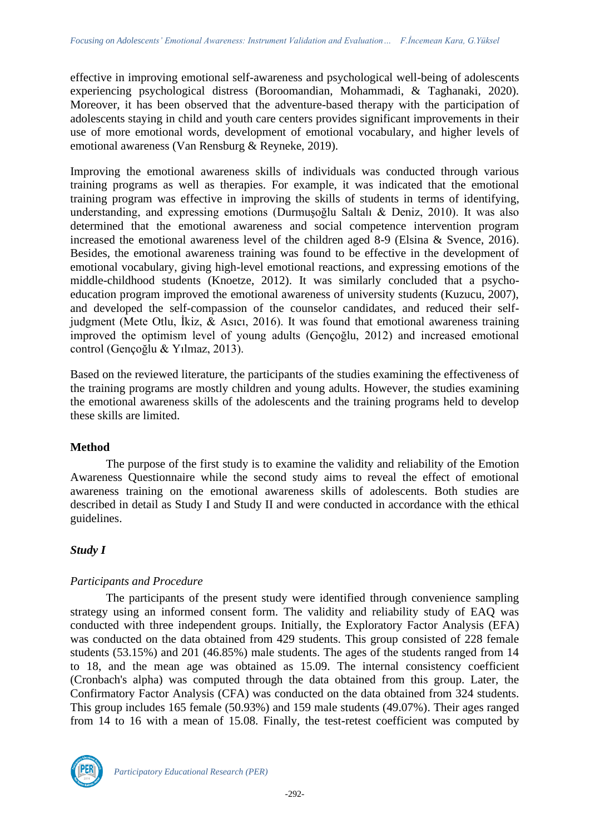effective in improving emotional self-awareness and psychological well-being of adolescents experiencing psychological distress (Boroomandian, Mohammadi, & Taghanaki, 2020). Moreover, it has been observed that the adventure-based therapy with the participation of adolescents staying in child and youth care centers provides significant improvements in their use of more emotional words, development of emotional vocabulary, and higher levels of emotional awareness (Van Rensburg & Reyneke, 2019).

Improving the emotional awareness skills of individuals was conducted through various training programs as well as therapies. For example, it was indicated that the emotional training program was effective in improving the skills of students in terms of identifying, understanding, and expressing emotions (Durmuşoğlu Saltalı & Deniz, 2010). It was also determined that the emotional awareness and social competence intervention program increased the emotional awareness level of the children aged 8-9 (Elsina & Svence, 2016). Besides, the emotional awareness training was found to be effective in the development of emotional vocabulary, giving high-level emotional reactions, and expressing emotions of the middle-childhood students (Knoetze, 2012). It was similarly concluded that a psychoeducation program improved the emotional awareness of university students (Kuzucu, 2007), and developed the self-compassion of the counselor candidates, and reduced their selfjudgment (Mete Otlu, İkiz, & Asıcı, 2016). It was found that emotional awareness training improved the optimism level of young adults (Gençoğlu, 2012) and increased emotional control (Gençoğlu & Yılmaz, 2013).

Based on the reviewed literature, the participants of the studies examining the effectiveness of the training programs are mostly children and young adults. However, the studies examining the emotional awareness skills of the adolescents and the training programs held to develop these skills are limited.

## **Method**

The purpose of the first study is to examine the validity and reliability of the Emotion Awareness Questionnaire while the second study aims to reveal the effect of emotional awareness training on the emotional awareness skills of adolescents. Both studies are described in detail as Study I and Study II and were conducted in accordance with the ethical guidelines.

## *Study I*

## *Participants and Procedure*

The participants of the present study were identified through convenience sampling strategy using an informed consent form. The validity and reliability study of EAQ was conducted with three independent groups. Initially, the Exploratory Factor Analysis (EFA) was conducted on the data obtained from 429 students. This group consisted of 228 female students (53.15%) and 201 (46.85%) male students. The ages of the students ranged from 14 to 18, and the mean age was obtained as 15.09. The internal consistency coefficient (Cronbach's alpha) was computed through the data obtained from this group. Later, the Confirmatory Factor Analysis (CFA) was conducted on the data obtained from 324 students. This group includes 165 female (50.93%) and 159 male students (49.07%). Their ages ranged from 14 to 16 with a mean of 15.08. Finally, the test-retest coefficient was computed by

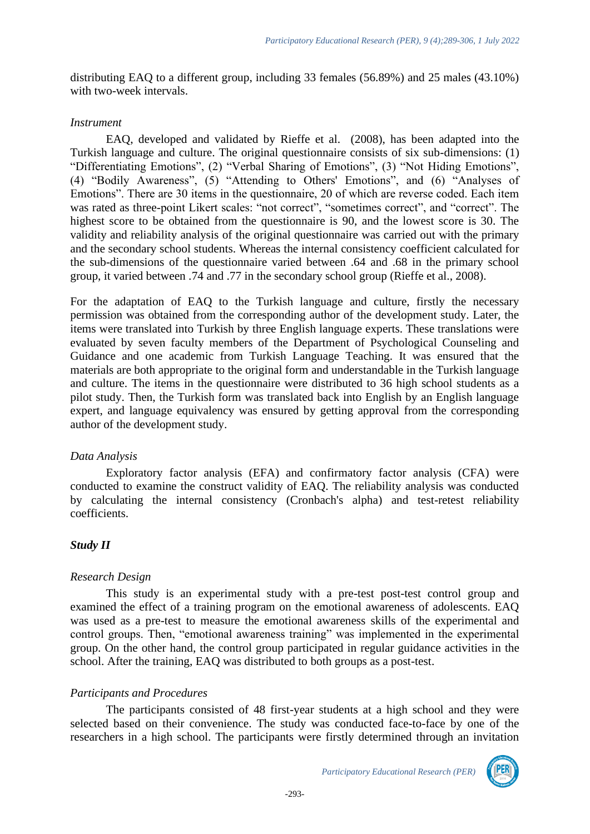distributing EAQ to a different group, including 33 females (56.89%) and 25 males (43.10%) with two-week intervals.

#### *Instrument*

EAQ, developed and validated by Rieffe et al. (2008), has been adapted into the Turkish language and culture. The original questionnaire consists of six sub-dimensions: (1) "Differentiating Emotions", (2) "Verbal Sharing of Emotions", (3) "Not Hiding Emotions", (4) "Bodily Awareness", (5) "Attending to Others' Emotions", and (6) "Analyses of Emotions". There are 30 items in the questionnaire, 20 of which are reverse coded. Each item was rated as three-point Likert scales: "not correct", "sometimes correct", and "correct". The highest score to be obtained from the questionnaire is 90, and the lowest score is 30. The validity and reliability analysis of the original questionnaire was carried out with the primary and the secondary school students. Whereas the internal consistency coefficient calculated for the sub-dimensions of the questionnaire varied between .64 and .68 in the primary school group, it varied between .74 and .77 in the secondary school group (Rieffe et al., 2008).

For the adaptation of EAQ to the Turkish language and culture, firstly the necessary permission was obtained from the corresponding author of the development study. Later, the items were translated into Turkish by three English language experts. These translations were evaluated by seven faculty members of the Department of Psychological Counseling and Guidance and one academic from Turkish Language Teaching. It was ensured that the materials are both appropriate to the original form and understandable in the Turkish language and culture. The items in the questionnaire were distributed to 36 high school students as a pilot study. Then, the Turkish form was translated back into English by an English language expert, and language equivalency was ensured by getting approval from the corresponding author of the development study.

## *Data Analysis*

Exploratory factor analysis (EFA) and confirmatory factor analysis (CFA) were conducted to examine the construct validity of EAQ. The reliability analysis was conducted by calculating the internal consistency (Cronbach's alpha) and test-retest reliability coefficients.

## *Study II*

## *Research Design*

This study is an experimental study with a pre-test post-test control group and examined the effect of a training program on the emotional awareness of adolescents. EAQ was used as a pre-test to measure the emotional awareness skills of the experimental and control groups. Then, "emotional awareness training" was implemented in the experimental group. On the other hand, the control group participated in regular guidance activities in the school. After the training, EAQ was distributed to both groups as a post-test.

## *Participants and Procedures*

The participants consisted of 48 first-year students at a high school and they were selected based on their convenience. The study was conducted face-to-face by one of the researchers in a high school. The participants were firstly determined through an invitation

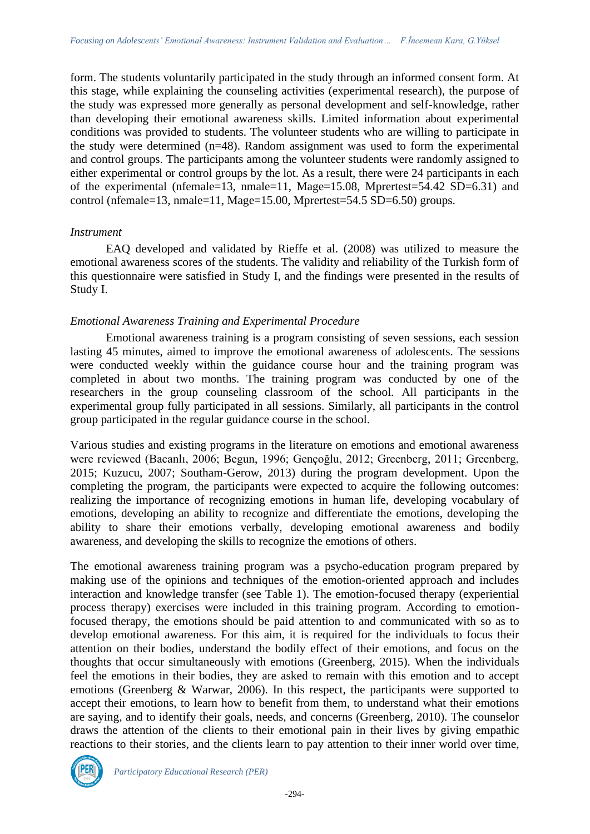form. The students voluntarily participated in the study through an informed consent form. At this stage, while explaining the counseling activities (experimental research), the purpose of the study was expressed more generally as personal development and self-knowledge, rather than developing their emotional awareness skills. Limited information about experimental conditions was provided to students. The volunteer students who are willing to participate in the study were determined (n=48). Random assignment was used to form the experimental and control groups. The participants among the volunteer students were randomly assigned to either experimental or control groups by the lot. As a result, there were 24 participants in each of the experimental (nfemale=13, nmale=11, Mage=15.08, Mprertest=54.42 SD=6.31) and control (nfemale=13, nmale=11, Mage=15.00, Mprertest=54.5 SD=6.50) groups.

### *Instrument*

EAQ developed and validated by Rieffe et al. (2008) was utilized to measure the emotional awareness scores of the students. The validity and reliability of the Turkish form of this questionnaire were satisfied in Study I, and the findings were presented in the results of Study I.

### *Emotional Awareness Training and Experimental Procedure*

Emotional awareness training is a program consisting of seven sessions, each session lasting 45 minutes, aimed to improve the emotional awareness of adolescents. The sessions were conducted weekly within the guidance course hour and the training program was completed in about two months. The training program was conducted by one of the researchers in the group counseling classroom of the school. All participants in the experimental group fully participated in all sessions. Similarly, all participants in the control group participated in the regular guidance course in the school.

Various studies and existing programs in the literature on emotions and emotional awareness were reviewed (Bacanlı, 2006; Begun, 1996; Gençoğlu, 2012; Greenberg, 2011; Greenberg, 2015; Kuzucu, 2007; Southam-Gerow, 2013) during the program development. Upon the completing the program, the participants were expected to acquire the following outcomes: realizing the importance of recognizing emotions in human life, developing vocabulary of emotions, developing an ability to recognize and differentiate the emotions, developing the ability to share their emotions verbally, developing emotional awareness and bodily awareness, and developing the skills to recognize the emotions of others.

The emotional awareness training program was a psycho-education program prepared by making use of the opinions and techniques of the emotion-oriented approach and includes interaction and knowledge transfer (see Table 1). The emotion-focused therapy (experiential process therapy) exercises were included in this training program. According to emotionfocused therapy, the emotions should be paid attention to and communicated with so as to develop emotional awareness. For this aim, it is required for the individuals to focus their attention on their bodies, understand the bodily effect of their emotions, and focus on the thoughts that occur simultaneously with emotions (Greenberg, 2015). When the individuals feel the emotions in their bodies, they are asked to remain with this emotion and to accept emotions (Greenberg & Warwar, 2006). In this respect, the participants were supported to accept their emotions, to learn how to benefit from them, to understand what their emotions are saying, and to identify their goals, needs, and concerns (Greenberg, 2010). The counselor draws the attention of the clients to their emotional pain in their lives by giving empathic reactions to their stories, and the clients learn to pay attention to their inner world over time,

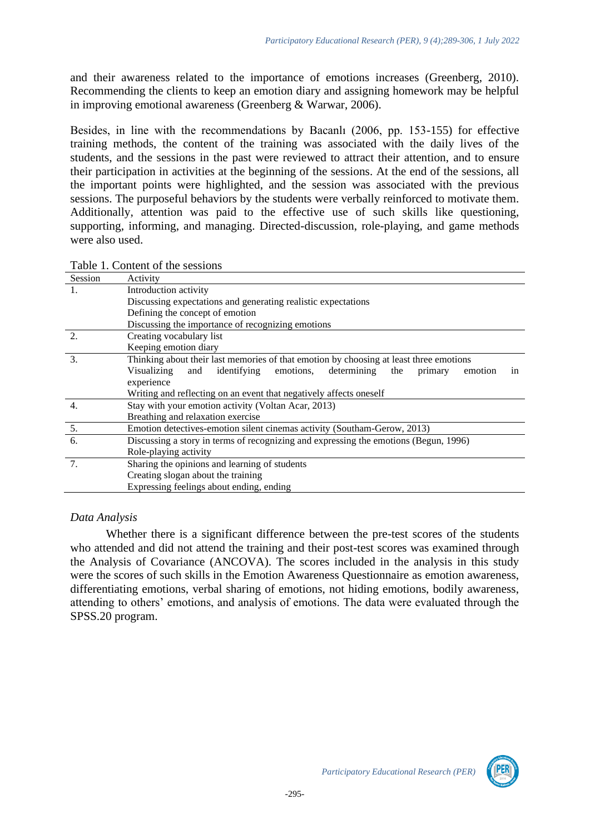and their awareness related to the importance of emotions increases (Greenberg, 2010). Recommending the clients to keep an emotion diary and assigning homework may be helpful in improving emotional awareness (Greenberg & Warwar, 2006).

Besides, in line with the recommendations by Bacanlı (2006, pp. 153-155) for effective training methods, the content of the training was associated with the daily lives of the students, and the sessions in the past were reviewed to attract their attention, and to ensure their participation in activities at the beginning of the sessions. At the end of the sessions, all the important points were highlighted, and the session was associated with the previous sessions. The purposeful behaviors by the students were verbally reinforced to motivate them. Additionally, attention was paid to the effective use of such skills like questioning, supporting, informing, and managing. Directed-discussion, role-playing, and game methods were also used.

Table 1. Content of the sessions

| Session | Activity                                                                                      |  |  |  |  |  |
|---------|-----------------------------------------------------------------------------------------------|--|--|--|--|--|
| 1.      | Introduction activity                                                                         |  |  |  |  |  |
|         | Discussing expectations and generating realistic expectations                                 |  |  |  |  |  |
|         | Defining the concept of emotion                                                               |  |  |  |  |  |
|         | Discussing the importance of recognizing emotions                                             |  |  |  |  |  |
|         | Creating vocabulary list                                                                      |  |  |  |  |  |
|         | Keeping emotion diary                                                                         |  |  |  |  |  |
| 3.      | Thinking about their last memories of that emotion by choosing at least three emotions        |  |  |  |  |  |
|         | Visualizing<br>identifying<br>emotions,<br>determining the<br>and<br>emotion<br>primary<br>in |  |  |  |  |  |
|         | experience                                                                                    |  |  |  |  |  |
|         | Writing and reflecting on an event that negatively affects oneself                            |  |  |  |  |  |
| 4.      | Stay with your emotion activity (Voltan Acar, 2013)                                           |  |  |  |  |  |
|         | Breathing and relaxation exercise                                                             |  |  |  |  |  |
| 5.      | Emotion detectives-emotion silent cinemas activity (Southam-Gerow, 2013)                      |  |  |  |  |  |
| 6.      | Discussing a story in terms of recognizing and expressing the emotions (Begun, 1996)          |  |  |  |  |  |
|         | Role-playing activity                                                                         |  |  |  |  |  |
| 7.      | Sharing the opinions and learning of students                                                 |  |  |  |  |  |
|         | Creating slogan about the training                                                            |  |  |  |  |  |
|         | Expressing feelings about ending, ending                                                      |  |  |  |  |  |

#### *Data Analysis*

Whether there is a significant difference between the pre-test scores of the students who attended and did not attend the training and their post-test scores was examined through the Analysis of Covariance (ANCOVA). The scores included in the analysis in this study were the scores of such skills in the Emotion Awareness Questionnaire as emotion awareness, differentiating emotions, verbal sharing of emotions, not hiding emotions, bodily awareness, attending to others' emotions, and analysis of emotions. The data were evaluated through the SPSS.20 program.

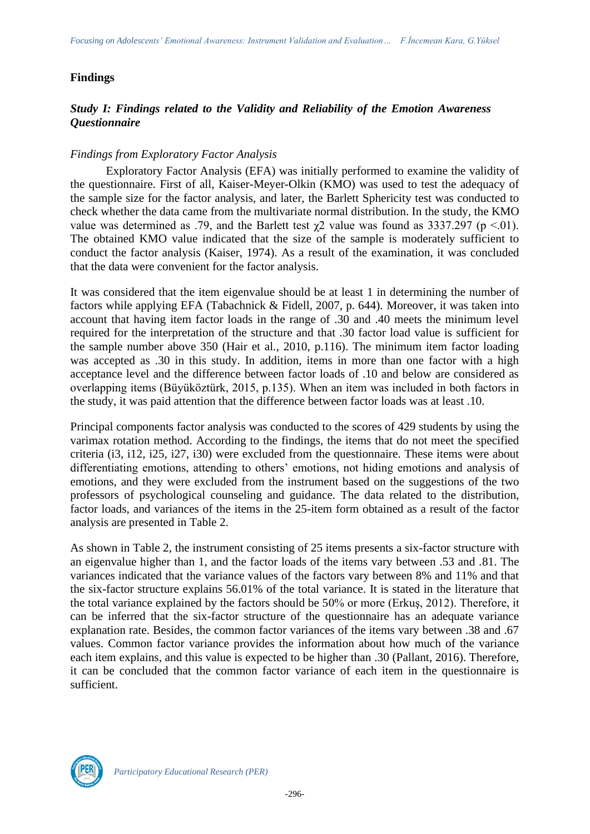## **Findings**

## *Study I: Findings related to the Validity and Reliability of the Emotion Awareness Questionnaire*

### *Findings from Exploratory Factor Analysis*

Exploratory Factor Analysis (EFA) was initially performed to examine the validity of the questionnaire. First of all, Kaiser-Meyer-Olkin (KMO) was used to test the adequacy of the sample size for the factor analysis, and later, the Barlett Sphericity test was conducted to check whether the data came from the multivariate normal distribution. In the study, the KMO value was determined as .79, and the Barlett test  $χ2$  value was found as 3337.297 (p <.01). The obtained KMO value indicated that the size of the sample is moderately sufficient to conduct the factor analysis (Kaiser, 1974). As a result of the examination, it was concluded that the data were convenient for the factor analysis.

It was considered that the item eigenvalue should be at least 1 in determining the number of factors while applying EFA (Tabachnick & Fidell, 2007, p. 644). Moreover, it was taken into account that having item factor loads in the range of .30 and .40 meets the minimum level required for the interpretation of the structure and that .30 factor load value is sufficient for the sample number above 350 (Hair et al., 2010, p.116). The minimum item factor loading was accepted as .30 in this study. In addition, items in more than one factor with a high acceptance level and the difference between factor loads of .10 and below are considered as overlapping items (Büyüköztürk, 2015, p.135). When an item was included in both factors in the study, it was paid attention that the difference between factor loads was at least .10.

Principal components factor analysis was conducted to the scores of 429 students by using the varimax rotation method. According to the findings, the items that do not meet the specified criteria (i3, i12, i25, i27, i30) were excluded from the questionnaire. These items were about differentiating emotions, attending to others' emotions, not hiding emotions and analysis of emotions, and they were excluded from the instrument based on the suggestions of the two professors of psychological counseling and guidance. The data related to the distribution, factor loads, and variances of the items in the 25-item form obtained as a result of the factor analysis are presented in Table 2.

As shown in Table 2, the instrument consisting of 25 items presents a six-factor structure with an eigenvalue higher than 1, and the factor loads of the items vary between .53 and .81. The variances indicated that the variance values of the factors vary between 8% and 11% and that the six-factor structure explains 56.01% of the total variance. It is stated in the literature that the total variance explained by the factors should be 50% or more (Erkuş, 2012). Therefore, it can be inferred that the six-factor structure of the questionnaire has an adequate variance explanation rate. Besides, the common factor variances of the items vary between .38 and .67 values. Common factor variance provides the information about how much of the variance each item explains, and this value is expected to be higher than .30 (Pallant, 2016). Therefore, it can be concluded that the common factor variance of each item in the questionnaire is sufficient.

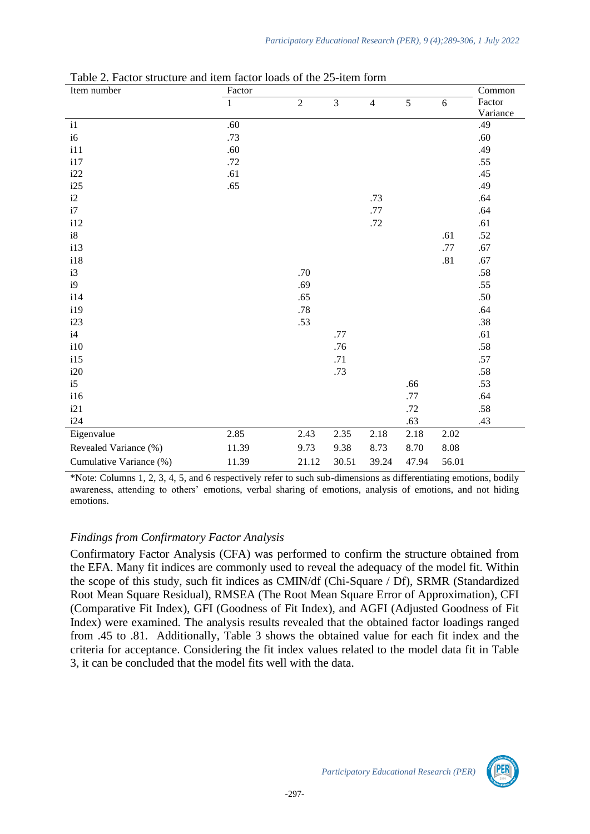| Item number             | Factor       |                |       |                |       |          | Common   |
|-------------------------|--------------|----------------|-------|----------------|-------|----------|----------|
|                         | $\mathbf{1}$ | $\overline{c}$ | 3     | $\overline{4}$ | 5     | 6        | Factor   |
|                         |              |                |       |                |       |          | Variance |
| $\mathbf{i}$            | .60          |                |       |                |       |          | .49      |
| i6                      | .73          |                |       |                |       |          | .60      |
| i11                     | .60          |                |       |                |       |          | .49      |
| i17                     | .72          |                |       |                |       |          | .55      |
| i22                     | .61          |                |       |                |       |          | .45      |
| i25                     | .65          |                |       |                |       |          | .49      |
| i2                      |              |                |       | .73            |       |          | .64      |
| i7                      |              |                |       | .77            |       |          | .64      |
| i12                     |              |                |       | .72            |       |          | .61      |
| i8                      |              |                |       |                |       | .61      | $.52\,$  |
| i13                     |              |                |       |                |       | .77      | .67      |
| 118                     |              |                |       |                |       | .81      | .67      |
| i3                      |              | .70            |       |                |       |          | .58      |
| i9                      |              | .69            |       |                |       |          | .55      |
| i14                     |              | .65            |       |                |       |          | .50      |
| i19                     |              | .78            |       |                |       |          | .64      |
| i23                     |              | .53            |       |                |       |          | .38      |
| i4                      |              |                | .77   |                |       |          | .61      |
| i10                     |              |                | .76   |                |       |          | .58      |
| i15                     |              |                | .71   |                |       |          | .57      |
| i20                     |              |                | .73   |                |       |          | .58      |
| i5                      |              |                |       |                | .66   |          | .53      |
| i16                     |              |                |       |                | .77   |          | .64      |
| i21                     |              |                |       |                | .72   |          | .58      |
| i24                     |              |                |       |                | .63   |          | .43      |
| Eigenvalue              | 2.85         | 2.43           | 2.35  | 2.18           | 2.18  | 2.02     |          |
| Revealed Variance (%)   | 11.39        | 9.73           | 9.38  | 8.73           | 8.70  | $8.08\,$ |          |
| Cumulative Variance (%) | 11.39        | 21.12          | 30.51 | 39.24          | 47.94 | 56.01    |          |

Table 2. Factor structure and item factor loads of the 25-item form

\*Note: Columns 1, 2, 3, 4, 5, and 6 respectively refer to such sub-dimensions as differentiating emotions, bodily awareness, attending to others' emotions, verbal sharing of emotions, analysis of emotions, and not hiding emotions.

#### *Findings from Confirmatory Factor Analysis*

Confirmatory Factor Analysis (CFA) was performed to confirm the structure obtained from the EFA. Many fit indices are commonly used to reveal the adequacy of the model fit. Within the scope of this study, such fit indices as CMIN/df (Chi-Square / Df), SRMR (Standardized Root Mean Square Residual), RMSEA (The Root Mean Square Error of Approximation), CFI (Comparative Fit Index), GFI (Goodness of Fit Index), and AGFI (Adjusted Goodness of Fit Index) were examined. The analysis results revealed that the obtained factor loadings ranged from .45 to .81. Additionally, Table 3 shows the obtained value for each fit index and the criteria for acceptance. Considering the fit index values related to the model data fit in Table 3, it can be concluded that the model fits well with the data.

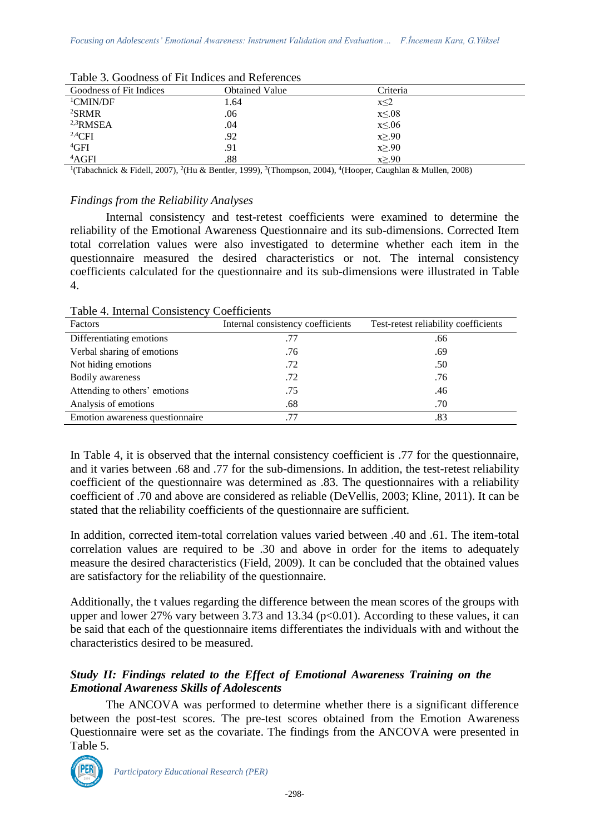| Goodness of Fit Indices | <b>Obtained Value</b> | Criteria      |
|-------------------------|-----------------------|---------------|
| <sup>1</sup> CMIN/DF    | 1.64                  | $x \leq 2$    |
| ${}^{2}$ SRMR           | .06                   | $x \leq 0.08$ |
| $2,3$ RMSEA             | .04                   | $x \leq 0.06$ |
| $^{2,4}$ CFI            | .92                   | $x \geq .90$  |
| ${}^{4}$ GFI            | .91                   | $x \geq .90$  |
| 4AGFI                   | .88                   | $x \geq .90$  |

Table 3. Goodness of Fit Indices and References

<sup>1</sup>(Tabachnick & Fidell, 2007), <sup>2</sup>(Hu & Bentler, 1999), <sup>3</sup>(Thompson, 2004), <sup>4</sup>(Hooper, Caughlan & Mullen, 2008)

#### *Findings from the Reliability Analyses*

Internal consistency and test-retest coefficients were examined to determine the reliability of the Emotional Awareness Questionnaire and its sub-dimensions. Corrected Item total correlation values were also investigated to determine whether each item in the questionnaire measured the desired characteristics or not. The internal consistency coefficients calculated for the questionnaire and its sub-dimensions were illustrated in Table 4.

Table 4. Internal Consistency Coefficients

| Factors                         | Internal consistency coefficients | Test-retest reliability coefficients |
|---------------------------------|-----------------------------------|--------------------------------------|
| Differentiating emotions        | .77                               | .66                                  |
| Verbal sharing of emotions      | .76                               | .69                                  |
| Not hiding emotions             | .72                               | .50                                  |
| <b>Bodily</b> awareness         | .72                               | .76                                  |
| Attending to others' emotions   | .75                               | .46                                  |
| Analysis of emotions            | .68                               | .70                                  |
| Emotion awareness questionnaire | .77                               | .83                                  |

In Table 4, it is observed that the internal consistency coefficient is .77 for the questionnaire, and it varies between .68 and .77 for the sub-dimensions. In addition, the test-retest reliability coefficient of the questionnaire was determined as .83. The questionnaires with a reliability coefficient of .70 and above are considered as reliable (DeVellis, 2003; Kline, 2011). It can be stated that the reliability coefficients of the questionnaire are sufficient.

In addition, corrected item-total correlation values varied between .40 and .61. The item-total correlation values are required to be .30 and above in order for the items to adequately measure the desired characteristics (Field, 2009). It can be concluded that the obtained values are satisfactory for the reliability of the questionnaire.

Additionally, the t values regarding the difference between the mean scores of the groups with upper and lower 27% vary between 3.73 and 13.34 ( $p<0.01$ ). According to these values, it can be said that each of the questionnaire items differentiates the individuals with and without the characteristics desired to be measured.

## *Study II: Findings related to the Effect of Emotional Awareness Training on the Emotional Awareness Skills of Adolescents*

The ANCOVA was performed to determine whether there is a significant difference between the post-test scores. The pre-test scores obtained from the Emotion Awareness Questionnaire were set as the covariate. The findings from the ANCOVA were presented in Table 5.

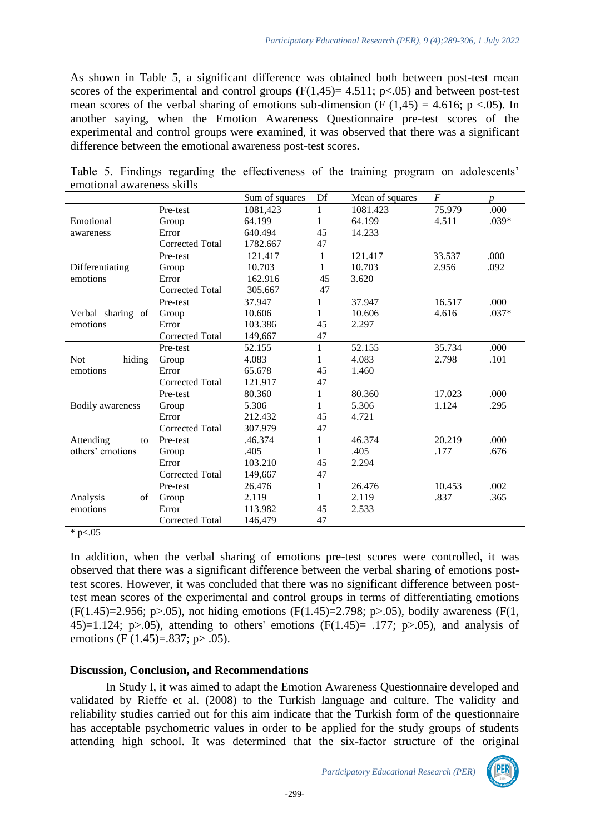As shown in Table 5, a significant difference was obtained both between post-test mean scores of the experimental and control groups  $(F(1,45)=4.511; p<0.05)$  and between post-test mean scores of the verbal sharing of emotions sub-dimension (F  $(1,45) = 4.616$ ; p <.05). In another saying, when the Emotion Awareness Questionnaire pre-test scores of the experimental and control groups were examined, it was observed that there was a significant difference between the emotional awareness post-test scores.

|                         |                        | Sum of squares | Df           | Mean of squares | $\boldsymbol{F}$ | $\boldsymbol{p}$ |
|-------------------------|------------------------|----------------|--------------|-----------------|------------------|------------------|
|                         | Pre-test               | 1081,423       | 1            | 1081.423        | 75.979           | .000             |
| Emotional               | Group                  | 64.199         | 1            | 64.199          | 4.511            | $.039*$          |
| awareness               | Error                  | 640.494        | 45           | 14.233          |                  |                  |
|                         | <b>Corrected Total</b> | 1782.667       | 47           |                 |                  |                  |
|                         | Pre-test               | 121.417        | 1            | 121.417         | 33.537           | .000             |
| Differentiating         | Group                  | 10.703         | 1            | 10.703          | 2.956            | .092             |
| emotions                | Error                  | 162.916        | 45           | 3.620           |                  |                  |
|                         | <b>Corrected Total</b> | 305.667        | 47           |                 |                  |                  |
|                         | Pre-test               | 37.947         | 1            | 37.947          | 16.517           | .000             |
| Verbal sharing of       | Group                  | 10.606         | $\mathbf{1}$ | 10.606          | 4.616            | $.037*$          |
| emotions                | Error                  | 103.386        | 45           | 2.297           |                  |                  |
|                         | <b>Corrected Total</b> | 149,667        | 47           |                 |                  |                  |
|                         | Pre-test               | 52.155         | 1            | 52.155          | 35.734           | .000             |
| hiding<br><b>Not</b>    | Group                  | 4.083          | 1            | 4.083           | 2.798            | .101             |
| emotions                | Error                  | 65.678         | 45           | 1.460           |                  |                  |
|                         | Corrected Total        | 121.917        | 47           |                 |                  |                  |
|                         | Pre-test               | 80.360         | $\mathbf{1}$ | 80.360          | 17.023           | .000             |
| <b>Bodily</b> awareness | Group                  | 5.306          | 1            | 5.306           | 1.124            | .295             |
|                         | Error                  | 212.432        | 45           | 4.721           |                  |                  |
|                         | <b>Corrected Total</b> | 307.979        | 47           |                 |                  |                  |
| Attending<br>to         | Pre-test               | .46.374        | 1            | 46.374          | 20.219           | .000             |
| others' emotions        | Group                  | .405           | 1            | .405            | .177             | .676             |
|                         | Error                  | 103.210        | 45           | 2.294           |                  |                  |
|                         | <b>Corrected Total</b> | 149,667        | 47           |                 |                  |                  |
|                         | Pre-test               | 26.476         | $\mathbf{1}$ | 26.476          | 10.453           | .002             |
| Analysis<br>of          | Group                  | 2.119          | 1            | 2.119           | .837             | .365             |
| emotions                | Error                  | 113.982        | 45           | 2.533           |                  |                  |
|                         | Corrected Total        | 146,479        | 47           |                 |                  |                  |

Table 5. Findings regarding the effectiveness of the training program on adolescents' emotional awareness skills

 $*$  p $< 05$ 

In addition, when the verbal sharing of emotions pre-test scores were controlled, it was observed that there was a significant difference between the verbal sharing of emotions posttest scores. However, it was concluded that there was no significant difference between posttest mean scores of the experimental and control groups in terms of differentiating emotions  $(F(1.45)=2.956; p>0.05)$ , not hiding emotions  $(F(1.45)=2.798; p>0.05)$ , bodily awareness  $(F(1, 45)=2.956; p>0.05)$ 45)=1.124; p>.05), attending to others' emotions ( $F(1.45)$ = .177; p>.05), and analysis of emotions (F (1.45)=.837; p > .05).

## **Discussion, Conclusion, and Recommendations**

In Study I, it was aimed to adapt the Emotion Awareness Questionnaire developed and validated by Rieffe et al. (2008) to the Turkish language and culture. The validity and reliability studies carried out for this aim indicate that the Turkish form of the questionnaire has acceptable psychometric values in order to be applied for the study groups of students attending high school. It was determined that the six-factor structure of the original

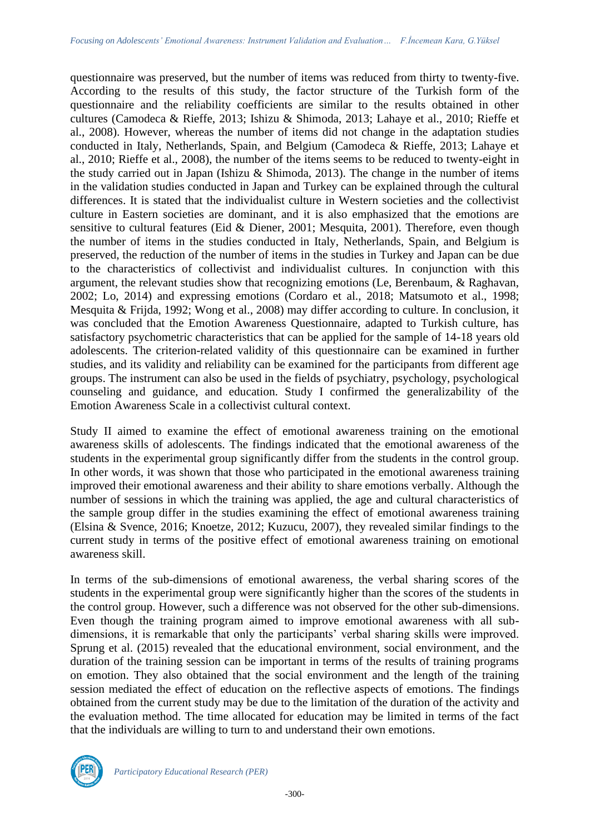questionnaire was preserved, but the number of items was reduced from thirty to twenty-five. According to the results of this study, the factor structure of the Turkish form of the questionnaire and the reliability coefficients are similar to the results obtained in other cultures (Camodeca & Rieffe, 2013; Ishizu & Shimoda, 2013; Lahaye et al., 2010; Rieffe et al., 2008). However, whereas the number of items did not change in the adaptation studies conducted in Italy, Netherlands, Spain, and Belgium (Camodeca & Rieffe, 2013; Lahaye et al., 2010; Rieffe et al., 2008), the number of the items seems to be reduced to twenty-eight in the study carried out in Japan (Ishizu & Shimoda, 2013). The change in the number of items in the validation studies conducted in Japan and Turkey can be explained through the cultural differences. It is stated that the individualist culture in Western societies and the collectivist culture in Eastern societies are dominant, and it is also emphasized that the emotions are sensitive to cultural features (Eid & Diener, 2001; Mesquita, 2001). Therefore, even though the number of items in the studies conducted in Italy, Netherlands, Spain, and Belgium is preserved, the reduction of the number of items in the studies in Turkey and Japan can be due to the characteristics of collectivist and individualist cultures. In conjunction with this argument, the relevant studies show that recognizing emotions (Le, Berenbaum, & Raghavan, 2002; Lo, 2014) and expressing emotions (Cordaro et al., 2018; Matsumoto et al., 1998; Mesquita & Frijda, 1992; Wong et al., 2008) may differ according to culture. In conclusion, it was concluded that the Emotion Awareness Questionnaire, adapted to Turkish culture, has satisfactory psychometric characteristics that can be applied for the sample of 14-18 years old adolescents. The criterion-related validity of this questionnaire can be examined in further studies, and its validity and reliability can be examined for the participants from different age groups. The instrument can also be used in the fields of psychiatry, psychology, psychological counseling and guidance, and education. Study I confirmed the generalizability of the Emotion Awareness Scale in a collectivist cultural context.

Study II aimed to examine the effect of emotional awareness training on the emotional awareness skills of adolescents. The findings indicated that the emotional awareness of the students in the experimental group significantly differ from the students in the control group. In other words, it was shown that those who participated in the emotional awareness training improved their emotional awareness and their ability to share emotions verbally. Although the number of sessions in which the training was applied, the age and cultural characteristics of the sample group differ in the studies examining the effect of emotional awareness training (Elsina & Svence, 2016; Knoetze, 2012; Kuzucu, 2007), they revealed similar findings to the current study in terms of the positive effect of emotional awareness training on emotional awareness skill.

In terms of the sub-dimensions of emotional awareness, the verbal sharing scores of the students in the experimental group were significantly higher than the scores of the students in the control group. However, such a difference was not observed for the other sub-dimensions. Even though the training program aimed to improve emotional awareness with all subdimensions, it is remarkable that only the participants' verbal sharing skills were improved. Sprung et al. (2015) revealed that the educational environment, social environment, and the duration of the training session can be important in terms of the results of training programs on emotion. They also obtained that the social environment and the length of the training session mediated the effect of education on the reflective aspects of emotions. The findings obtained from the current study may be due to the limitation of the duration of the activity and the evaluation method. The time allocated for education may be limited in terms of the fact that the individuals are willing to turn to and understand their own emotions.

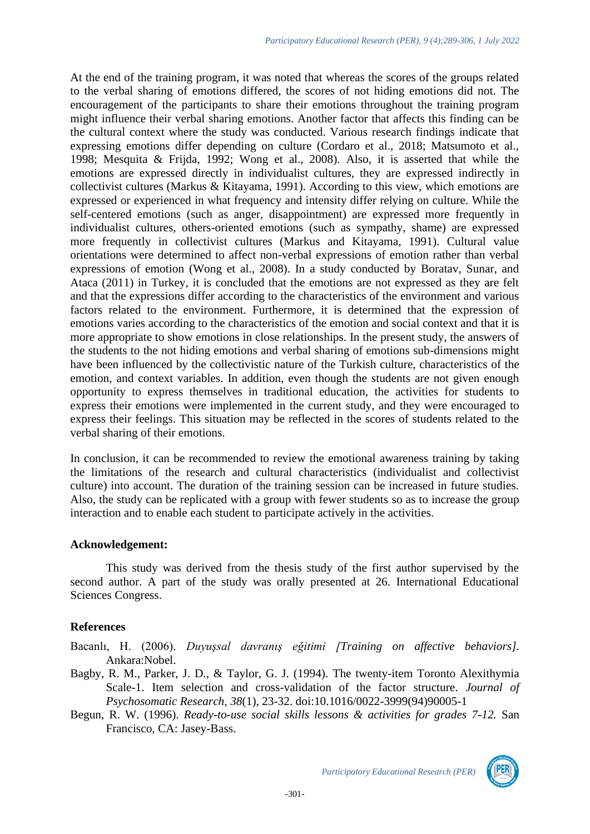At the end of the training program, it was noted that whereas the scores of the groups related to the verbal sharing of emotions differed, the scores of not hiding emotions did not. The encouragement of the participants to share their emotions throughout the training program might influence their verbal sharing emotions. Another factor that affects this finding can be the cultural context where the study was conducted. Various research findings indicate that expressing emotions differ depending on culture (Cordaro et al., 2018; Matsumoto et al., 1998; Mesquita & Frijda, 1992; Wong et al., 2008). Also, it is asserted that while the emotions are expressed directly in individualist cultures, they are expressed indirectly in collectivist cultures (Markus & Kitayama, 1991). According to this view, which emotions are expressed or experienced in what frequency and intensity differ relying on culture. While the self-centered emotions (such as anger, disappointment) are expressed more frequently in individualist cultures, others-oriented emotions (such as sympathy, shame) are expressed more frequently in collectivist cultures (Markus and Kitayama, 1991). Cultural value orientations were determined to affect non-verbal expressions of emotion rather than verbal expressions of emotion (Wong et al., 2008). In a study conducted by Boratav, Sunar, and Ataca (2011) in Turkey, it is concluded that the emotions are not expressed as they are felt and that the expressions differ according to the characteristics of the environment and various factors related to the environment. Furthermore, it is determined that the expression of emotions varies according to the characteristics of the emotion and social context and that it is more appropriate to show emotions in close relationships. In the present study, the answers of the students to the not hiding emotions and verbal sharing of emotions sub-dimensions might have been influenced by the collectivistic nature of the Turkish culture, characteristics of the emotion, and context variables. In addition, even though the students are not given enough opportunity to express themselves in traditional education, the activities for students to express their emotions were implemented in the current study, and they were encouraged to express their feelings. This situation may be reflected in the scores of students related to the verbal sharing of their emotions.

In conclusion, it can be recommended to review the emotional awareness training by taking the limitations of the research and cultural characteristics (individualist and collectivist culture) into account. The duration of the training session can be increased in future studies. Also, the study can be replicated with a group with fewer students so as to increase the group interaction and to enable each student to participate actively in the activities.

#### **Acknowledgement:**

This study was derived from the thesis study of the first author supervised by the second author. A part of the study was orally presented at 26. International Educational Sciences Congress.

## **References**

Bacanlı, H. (2006). *Duyuşsal davranış eğitimi [\[Training on affective behaviors\]](https://tureng.com/tr/turkce-ingilizce/affective%20behaviors).*  Ankara:Nobel.

- Bagby, R. M., Parker, J. D., & Taylor, G. J. (1994). The twenty-item Toronto Alexithymia Scale-1. Item selection and cross-validation of the factor structure. *Journal of Psychosomatic Research, 38*(1), 23-32. doi:10.1016/0022-3999(94)90005-1
- Begun, R. W. (1996). *Ready-to-use social skills lessons & activities for grades 7-12.* San Francisco, CA: Jasey-Bass.



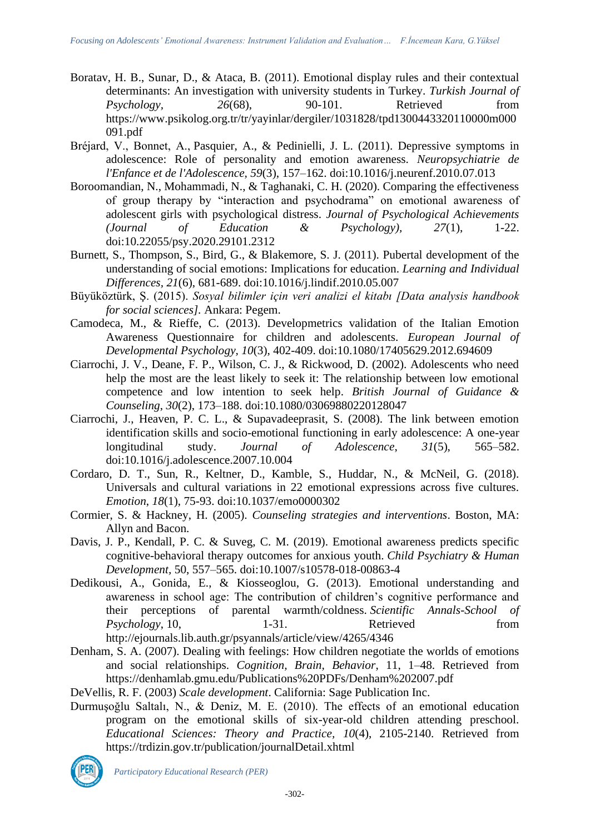- Boratav, H. B., Sunar, D., & Ataca, B. (2011). Emotional display rules and their contextual determinants: An investigation with university students in Turkey. *Turkish Journal of*<br>*Psychology.* 26(68). 90-101. Retrieved from *Psychology,* 26<sup>(68)</sup>, 90-101, Retrieved from https://www.psikolog.org.tr/tr/yayinlar/dergiler/1031828/tpd1300443320110000m000 091.pdf
- Bréjard, V., Bonnet, A., Pasquier, A., & Pedinielli, J. L. (2011). Depressive symptoms in adolescence: Role of personality and emotion awareness. *Neuropsychiatrie de l'Enfance et de l'Adolescence, 59*(3), 157–162. doi[:10.1016/j.neurenf.2010.07.013](https://doi.org/10.1016/j.neurenf.2010.07.013)
- Boroomandian, N., Mohammadi, N., & Taghanaki, C. H. (2020). Comparing the effectiveness of group therapy by "interaction and psychodrama" on emotional awareness of adolescent girls with psychological distress. *Journal of Psychological Achievements (Journal of Education & Psychology), 27*(1), 1-22. doi:10.22055/psy.2020.29101.2312
- Burnett, S., Thompson, S., Bird, G., & Blakemore, S. J. (2011). Pubertal development of the understanding of social emotions: Implications for education. *Learning and Individual Differences, 21*(6), 681-689. doi[:10.1016/j.lindif.2010.05.007](https://doi.org/10.1016/j.lindif.2010.05.007)
- Büyüköztürk, Ş. (2015). *Sosyal bilimler için veri analizi el kitabı [Data analysis handbook for social sciences].* Ankara: Pegem.
- Camodeca, M., & Rieffe, C. (2013). Developmetrics validation of the Italian Emotion Awareness Questionnaire for children and adolescents. *European Journal of Developmental Psychology, 10*(3), 402-409. doi[:10.1080/17405629.2012.694609](https://doi.org/10.1080/17405629.2012.694609)
- Ciarrochi, J. V., Deane, F. P., Wilson, C. J., & Rickwood, D. (2002). Adolescents who need help the most are the least likely to seek it: The relationship between low emotional competence and low intention to seek help. *British Journal of Guidance & Counseling*, *30*(2), 173–188. doi[:10.1080/03069880220128047](https://doi.org/10.1080/03069880220128047)
- Ciarrochi, J., Heaven, P. C. L., & Supavadeeprasit, S. (2008). The link between emotion identification skills and socio-emotional functioning in early adolescence: A one-year longitudinal study. *Journal of Adolescence*, *31*(5), 565–582. doi[:10.1016/j.adolescence.2007.10.004](https://doi.org/10.1016/j.adolescence.2007.10.004)
- Cordaro, D. T., Sun, R., Keltner, D., Kamble, S., Huddar, N., & McNeil, G. (2018). Universals and cultural variations in 22 emotional expressions across five cultures. *Emotion*, *18*(1), 75-93. doi:10.1037/emo0000302
- Cormier, S. & Hackney, H. (2005). *Counseling strategies and interventions*. Boston, MA: Allyn and Bacon.
- Davis, J. P., Kendall, P. C. & Suveg, C. M. (2019). Emotional awareness predicts specific cognitive-behavioral therapy outcomes for anxious youth. *Child Psychiatry & Human Development,* 50, 557–565. doi:10.1007/s10578-018-00863-4
- Dedikousi, A., Gonida, E., & Kiosseoglou, G. (2013). Emotional understanding and awareness in school age: The contribution of children's cognitive performance and their perceptions of parental warmth/coldness. *Scientific Annals-School of Psychology*, 10, 1-31. Retrieved from <http://ejournals.lib.auth.gr/psyannals/article/view/4265/4346>
- Denham, S. A. (2007). Dealing with feelings: How children negotiate the worlds of emotions and social relationships. *Cognition, Brain, Behavior*, 11, 1–48. Retrieved from <https://denhamlab.gmu.edu/Publications%20PDFs/Denham%202007.pdf>

DeVellis, R. F. (2003) *Scale development*. California: Sage Publication Inc.

Durmuşoğlu Saltalı, N., & Deniz, M. E. (2010). The effects of an emotional education program on the emotional skills of six-year-old children attending preschool. *Educational Sciences: Theory and Practice, 10*(4), 2105-2140. Retrieved from <https://trdizin.gov.tr/publication/journalDetail.xhtml>

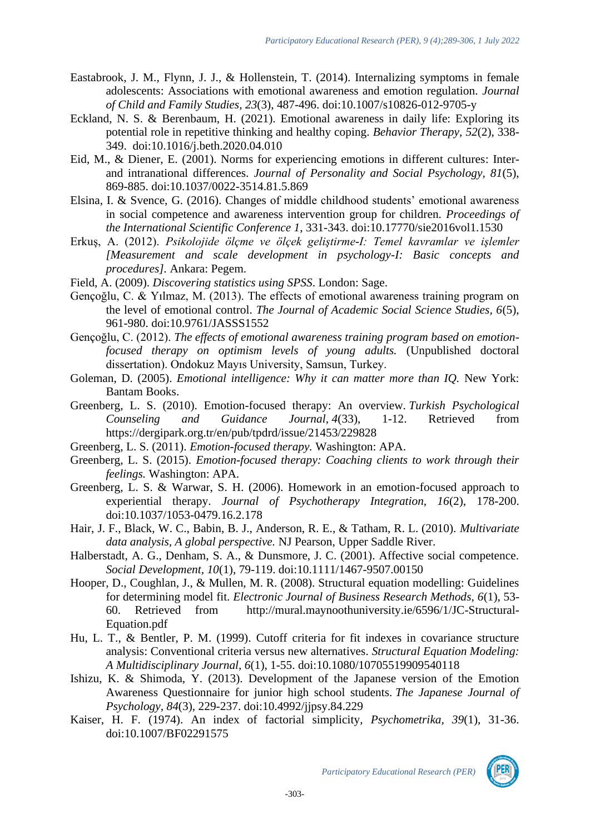- Eastabrook, J. M., Flynn, J. J., & Hollenstein, T. (2014). Internalizing symptoms in female adolescents: Associations with emotional awareness and emotion regulation. *Journal of Child and Family Studies, 23*(3), 487-496. doi:10.1007/s10826-012-9705-y
- [Eckland, N. S. &](https://www.sciencedirect.com/science/article/abs/pii/S0005789420300605#!) [Berenbaum,](https://www.sciencedirect.com/science/article/abs/pii/S0005789420300605#!) H. (2021). Emotional awareness in daily life: Exploring its potential role in repetitive thinking and healthy coping. *[Behavior Therapy,](https://www.sciencedirect.com/science/journal/00057894) 52*(2), 338- 349. [doi:10.1016/j.beth.2020.04.010](https://doi.org/10.1016/j.beth.2020.04.010)
- Eid, M., & Diener, E. (2001). Norms for experiencing emotions in different cultures: Interand intranational differences. *Journal of Personality and Social Psychology, 81*(5), 869-885. doi[:10.1037/0022-3514.81.5.869](https://psycnet.apa.org/doi/10.1037/0022-3514.81.5.869)
- Elsina, I. & Svence, G. (2016). Changes of middle childhood students' emotional awareness in social competence and awareness intervention group for children. *Proceedings of the International Scientific Conference 1*, 331-343. doi:10.17770/sie2016vol1.1530
- Erkuş, A. (2012). *Psikolojide ölçme ve ölçek geliştirme-I: Temel kavramlar ve işlemler [Measurement and scale development in psychology-I: Basic concepts and procedures].* Ankara: Pegem.
- Field, A. (2009). *Discovering statistics using SPSS*. London: Sage.
- Gençoğlu, C. & Yılmaz, M. (2013). The effects of emotional awareness training program on the level of emotional control. *The Journal of Academic Social Science Studies, 6*(5), 961-980. doi:10.9761/JASSS1552
- Gençoğlu, C. (2012). *The effects of emotional awareness training program based on emotionfocused therapy on optimism levels of young adults.* (Unpublished doctoral dissertation). Ondokuz Mayıs University, Samsun, Turkey.
- Goleman, D. (2005). *Emotional intelligence: Why it can matter more than IQ.* New York: [Bantam Books.](https://www.google.com.tr/search?sxsrf=ALeKk018blKiUIEBeNvCUpxaeI4Gv1kavw:1607271606637&q=Bantam+Books&stick=H4sIAAAAAAAAAOPgE-LSz9U3MKnMM6hKUeIEsc2NKi2StdQyyq30k_NzclKTSzLz8_TLizJLSlLz4svzi7KLrQpKk3IyizNSixax8jgl5pUk5io45ednF-9gZQQAcrPh_FMAAAA&sa=X&ved=2ahUKEwil9a6p4bntAhUkl4sKHcKRB-QQmxMoATAlegQIIxAD)
- Greenberg, L. S. (2010). Emotion-focused therapy: An overview. *Turkish Psychological Counseling and Guidance Journal, 4*(33), 1-12. Retrieved from <https://dergipark.org.tr/en/pub/tpdrd/issue/21453/229828>
- Greenberg, L. S. (2011). *Emotion-focused therapy.* Washington: APA.
- Greenberg, L. S. (2015). *Emotion-focused therapy: Coaching clients to work through their feelings.* Washington: APA.
- Greenberg, L. S. & Warwar, S. H. (2006). Homework in an emotion-focused approach to experiential therapy. *Journal of Psychotherapy Integration, 16*(2), 178-200. doi[:10.1037/1053-0479.16.2.178](https://psycnet.apa.org/doi/10.1037/1053-0479.16.2.178)
- Hair, J. F., Black, W. C., Babin, B. J., Anderson, R. E., & Tatham, R. L. (2010). *Multivariate data analysis, A global perspective.* NJ Pearson, Upper Saddle River.
- Halberstadt, A. G., Denham, S. A., & Dunsmore, J. C. (2001). Affective social competence. *Social Development, 10*(1), 79-119. doi:10.1111/1467-9507.00150
- Hooper, D., Coughlan, J., & Mullen, M. R. (2008). Structural equation modelling: Guidelines for determining model fit. *Electronic Journal of Business Research Methods, 6*(1), 53- 60. Retrieved from [http://mural.maynoothuniversity.ie/6596/1/JC-Structural-](http://mural.maynoothuniversity.ie/6596/1/JC-Structural-Equation.pdf)[Equation.pdf](http://mural.maynoothuniversity.ie/6596/1/JC-Structural-Equation.pdf)
- Hu, L. T., & Bentler, P. M. (1999). Cutoff criteria for fit indexes in covariance structure analysis: Conventional criteria versus new alternatives. *Structural Equation Modeling: A Multidisciplinary Journal, 6*(1), 1-55. doi:10.1080/10705519909540118
- Ishizu, K. & Shimoda, Y. (2013). Development of the Japanese version of the Emotion Awareness Questionnaire for junior high school students. *The Japanese Journal of Psychology, 84*(3), 229-237. doi[:10.4992/jjpsy.84.229](https://doi.org/10.4992/jjpsy.84.229)
- Kaiser, H. F. (1974). An index of factorial simplicity, *Psychometrika, 39*(1), 31-36. doi:10.1007/BF02291575

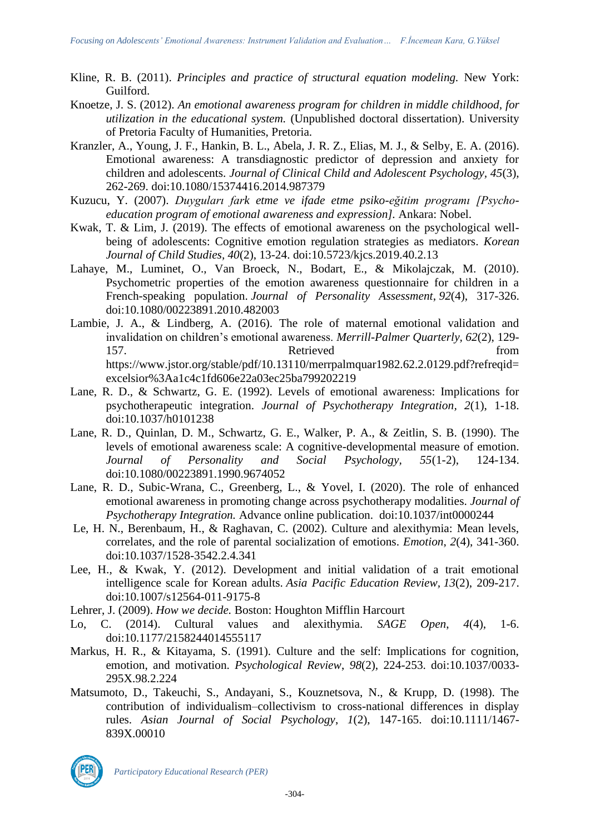- Kline, R. B. (2011). *Principles and practice of structural equation modeling.* New York: Guilford.
- Knoetze, J. S. (2012). *An emotional awareness program for children in middle childhood, for utilization in the educational system.* (Unpublished doctoral dissertation). University of Pretoria Faculty of Humanities, Pretoria.
- Kranzler, A., Young, J. F., Hankin, B. L., Abela, J. R. Z., Elias, M. J., & Selby, E. A. (2016). Emotional awareness: A transdiagnostic predictor of depression and anxiety for children and adolescents. *Journal of Clinical Child and Adolescent Psychology, 45*(3), 262-269. doi:10.1080/15374416.2014.987379
- Kuzucu, Y. (2007). *Duyguları fark etme ve ifade etme psiko-eğitim programı [Psychoeducation program of emotional awareness and expression].* Ankara: Nobel.
- Kwak, T. & Lim, J. (2019). The effects of emotional awareness on the psychological wellbeing of adolescents: Cognitive emotion regulation strategies as mediators. *Korean Journal of Child Studies, 40*(2), 13-24. doi[:10.5723/kjcs.2019.40.2.13](https://doi.org/10.5723/kjcs.2019.40.2.13)
- Lahaye, M., Luminet, O., Van Broeck, N., Bodart, E., & Mikolajczak, M. (2010). Psychometric properties of the emotion awareness questionnaire for children in a French-speaking population. *Journal of Personality Assessment*, *92*(4), 317-326. doi:10.1080/00223891.2010.482003
- Lambie, J. A., & Lindberg, A. (2016). The role of maternal emotional validation and invalidation on children's emotional awareness. *Merrill-Palmer Quarterly, 62*(2), 129- 157. Contract Retrieved and ST. [https://www.jstor.org/stable/pdf/10.13110/merrpalmquar1982.62.2.0129.pdf?refreqid=](https://www.jstor.org/stable/pdf/10.13110/merrpalmquar1982.62.2.0129.pdf?refreqid=excelsior%3Aa1c4c1fd606e22a03ec25ba799202219) [excelsior%3Aa1c4c1fd606e22a03ec25ba799202219](https://www.jstor.org/stable/pdf/10.13110/merrpalmquar1982.62.2.0129.pdf?refreqid=excelsior%3Aa1c4c1fd606e22a03ec25ba799202219)
- Lane, R. D., & Schwartz, G. E. (1992). Levels of emotional awareness: Implications for psychotherapeutic integration. *Journal of Psychotherapy Integration, 2*(1), 1-18. doi:10.1037/h0101238
- Lane, R. D., Quinlan, D. M., Schwartz, G. E., Walker, P. A., & Zeitlin, S. B. (1990). The levels of emotional awareness scale: A cognitive-developmental measure of emotion. *Journal of Personality and Social Psychology, 55*(1-2), 124-134. doi:10.1080/00223891.1990.9674052
- Lane, R. D., Subic-Wrana, C., Greenberg, L., & Yovel, I. (2020). The role of enhanced emotional awareness in promoting change across psychotherapy modalities. *Journal of Psychotherapy Integration.* Advance online publication. [doi:10.1037/int0000244](https://doi.org/10.1037/int0000244)
- Le, H. N., Berenbaum, H., & Raghavan, C. (2002). Culture and alexithymia: Mean levels, correlates, and the role of parental socialization of emotions. *Emotion*, *2*(4), 341-360. doi:10.1037/1528-3542.2.4.341
- Lee, H., & Kwak, Y. (2012). Development and initial validation of a trait emotional intelligence scale for Korean adults. *Asia Pacific Education Review, 13*(2), 209-217. doi:10.1007/s12564-011-9175-8
- Lehrer, J. (2009). *How we decide.* Boston: Houghton Mifflin Harcourt
- Lo, C. (2014). Cultural values and alexithymia. *SAGE Open*, *4*(4), 1-6. doi:10.1177/2158244014555117
- Markus, H. R., & Kitayama, S. (1991). Culture and the self: Implications for cognition, emotion, and motivation. *Psychological Review*, *98*(2), 224-253. doi:10.1037/0033- 295X.98.2.224
- Matsumoto, D., Takeuchi, S., Andayani, S., Kouznetsova, N., & Krupp, D. (1998). The contribution of individualism–collectivism to cross-national differences in display rules. *Asian Journal of Social Psychology*, *1*(2), 147-165. doi:10.1111/1467- 839X.00010

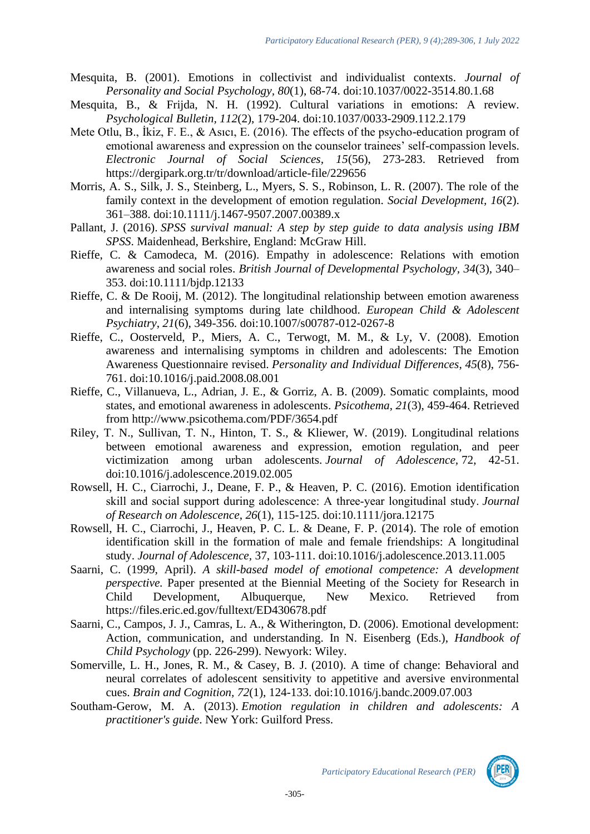- Mesquita, B. (2001). Emotions in collectivist and individualist contexts. *Journal of Personality and Social Psychology, 80*(1), 68-74. doi:10.1037/0022-3514.80.1.68
- Mesquita, B., & Frijda, N. H. (1992). Cultural variations in emotions: A review. *Psychological Bulletin, 112*(2), 179-204. doi:10.1037/0033-2909.112.2.179
- Mete Otlu, B., İkiz, F. E., & Asıcı, E. (2016). The effects of the psycho-education program of emotional awareness and expression on the counselor trainees' self-compassion levels. *Electronic Journal of Social Sciences, 15*(56), 273-283. Retrieved from https://dergipark.org.tr/tr/download/article-file/229656
- Morris, A. S., Silk, J. S., Steinberg, L., Myers, S. S., Robinson, L. R. (2007). The role of the family context in the development of emotion regulation. *Social Development, 16*(2). 361–388. doi[:10.1111/j.1467-9507.2007.00389.x](https://doi.org/10.1111/j.1467-9507.2007.00389.x)
- Pallant, J. (2016). *SPSS survival manual: A step by step guide to data analysis using IBM SPSS*. Maidenhead, Berkshire, England: McGraw Hill.
- Rieffe, C. & Camodeca, M. (2016). Empathy in adolescence: Relations with emotion awareness and social roles. *British Journal of Developmental Psychology, 34*(3), 340– 353. doi:10.1111/bjdp.12133
- Rieffe, C. & De Rooij, M. (2012). The longitudinal relationship between emotion awareness and internalising symptoms during late childhood. *European Child & Adolescent Psychiatry*, *21*(6), 349-356. doi:10.1007/s00787-012-0267-8
- Rieffe, C., Oosterveld, P., Miers, A. C., Terwogt, M. M., & Ly, V. (2008). Emotion awareness and internalising symptoms in children and adolescents: The Emotion Awareness Questionnaire revised. *Personality and Individual Differences*, *45*(8), 756- 761. doi:10.1016/j.paid.2008.08.001
- Rieffe, C., Villanueva, L., Adrian, J. E., & Gorriz, A. B. (2009). Somatic complaints, mood states, and emotional awareness in adolescents. *Psicothema*, *21*(3), 459-464. Retrieved from <http://www.psicothema.com/PDF/3654.pdf>
- Riley, T. N., Sullivan, T. N., Hinton, T. S., & Kliewer, W. (2019). Longitudinal relations between emotional awareness and expression, emotion regulation, and peer victimization among urban adolescents. *Journal of Adolescence,* 72, 42-51. doi[:10.1016/j.adolescence.2019.02.005](https://doi.org/10.1016/j.adolescence.2019.02.005)
- Rowsell, H. C., Ciarrochi, J., Deane, F. P., & Heaven, P. C. (2016). Emotion identification skill and social support during adolescence: A three‐year longitudinal study. *Journal of Research on Adolescence*, *26*(1), 115-125. doi:10.1111/jora.12175
- Rowsell, H. C., Ciarrochi, J., Heaven, P. C. L. & Deane, F. P. (2014). The role of emotion identification skill in the formation of male and female friendships: A longitudinal study. *Journal of Adolescence,* 37, 103-111. doi:10.1016/j.adolescence.2013.11.005
- Saarni, C. (1999, April). *A skill-based model of emotional competence: A development perspective.* Paper presented at the Biennial Meeting of the Society for Research in Child Development, Albuquerque, New Mexico. Retrieved from <https://files.eric.ed.gov/fulltext/ED430678.pdf>
- Saarni, C., Campos, J. J., Camras, L. A., & Witherington, D. (2006). Emotional development: Action, communication, and understanding. In N. Eisenberg (Eds.), *Handbook of Child Psychology* (pp. 226-299). Newyork: Wiley.
- Somerville, L. H., Jones, R. M., & Casey, B. J. (2010). A time of change: Behavioral and neural correlates of adolescent sensitivity to appetitive and aversive environmental cues. *Brain and Cognition, 72*(1), 124-133. doi[:10.1016/j.bandc.2009.07.003](https://doi.org/10.1016/j.bandc.2009.07.003)
- Southam-Gerow, M. A. (2013). *Emotion regulation in children and adolescents: A practitioner's guide*. New York: Guilford Press.